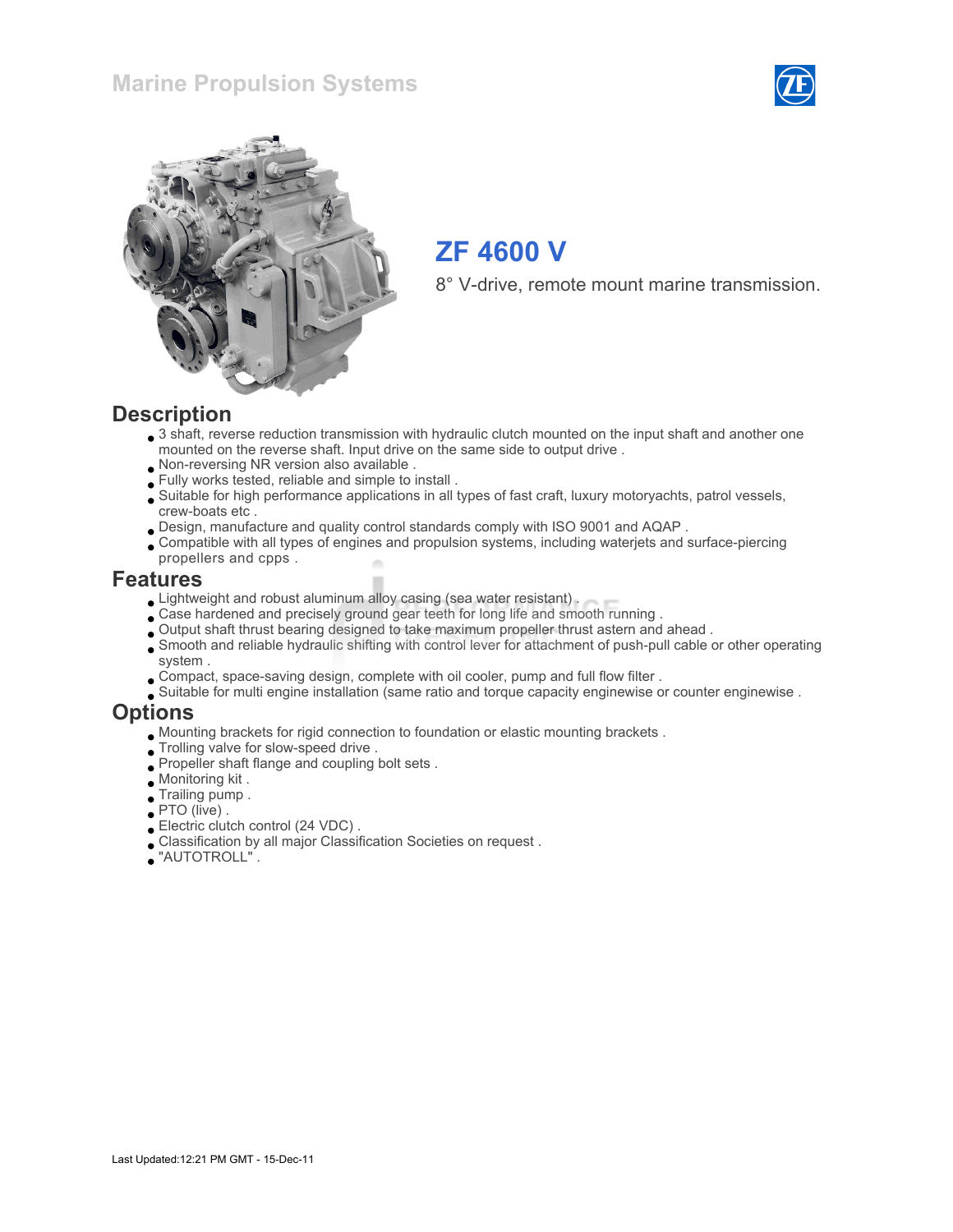### Marine Propulsion Systems





# ZF 4600 V

8° V-drive, remote mount marine transmission.

#### **Description**

- 3 shaft, reverse reduction transmission with hydraulic clutch mounted on the input shaft and another one mounted on the reverse shaft. Input drive on the same side to output drive .
- Non-reversing NR version also available .
- Fully works tested, reliable and simple to install .
- Suitable for high performance applications in all types of fast craft, luxury motoryachts, patrol vessels, crew-boats etc .
- Design, manufacture and quality control standards comply with ISO 9001 and AQAP .
- Compatible with all types of engines and propulsion systems, including waterjets and surface-piercing propellers and cpps .

#### Features

- Lightweight and robust aluminum alloy casing (sea water resistant).
- Case hardened and precisely ground gear teeth for long life and smooth running .
- Output shaft thrust bearing designed to take maximum propeller thrust astern and ahead .
- Smooth and reliable hydraulic shifting with control lever for attachment of push-pull cable or other operating system .
- Compact, space-saving design, complete with oil cooler, pump and full flow filter .
- Suitable for multi engine installation (same ratio and torque capacity enginewise or counter enginewise .

#### **Options**

- Mounting brackets for rigid connection to foundation or elastic mounting brackets .
- Trolling valve for slow-speed drive .
- Propeller shaft flange and coupling bolt sets .
- Monitoring kit .
- Trailing pump .
- PTO (live) .
- Electric clutch control (24 VDC) .
- Classification by all major Classification Societies on request .
- "AUTOTROLL" .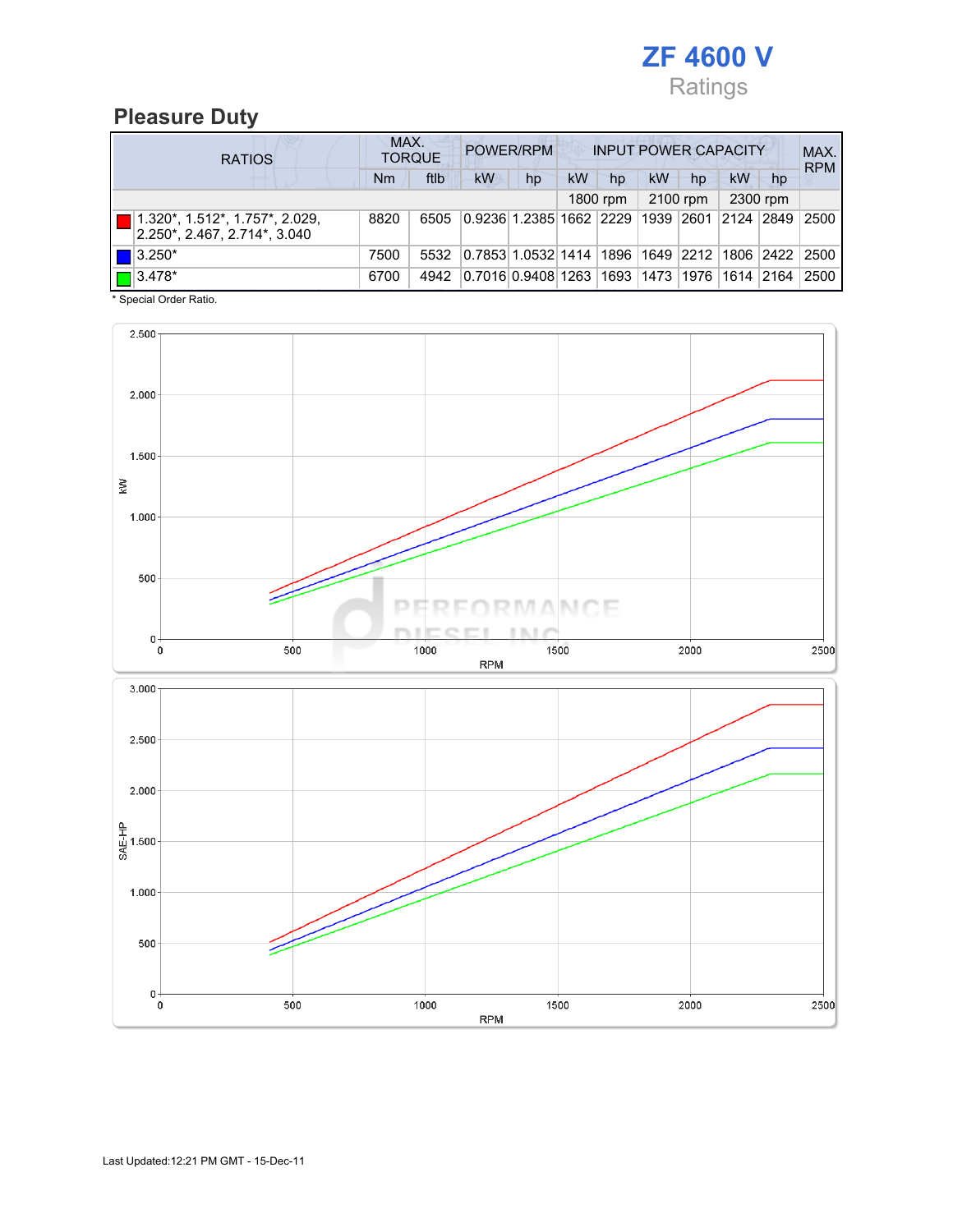

# Pleasure Duty

| <b>RATIOS</b>                                                               | MAX.<br>POWER/RPM<br><b>INPUT POWER CAPACITY</b><br><b>TORQUE</b> |      |                                                  |    |    |          |    |          |            |          | MAX.<br><b>RPM</b> |
|-----------------------------------------------------------------------------|-------------------------------------------------------------------|------|--------------------------------------------------|----|----|----------|----|----------|------------|----------|--------------------|
|                                                                             | Nm                                                                | ftlb | kW                                               | hp | kW | hp       | kW | hp       | kW         | hp       |                    |
|                                                                             |                                                                   |      |                                                  |    |    | 1800 rpm |    | 2100 rpm |            | 2300 rpm |                    |
| $\boxed{ }$ (1.320*, 1.512*, 1.757*, 2.029,<br>2.250*, 2.467, 2.714*, 3.040 | 8820                                                              | 6505 | 0.9236 1.2385 1662  2229  1939  2601  2124  2849 |    |    |          |    |          |            |          | 2500               |
| $  $ $  $ 3.250*                                                            | 7500                                                              | 5532 | 0.7853 1.0532 1414 1896 1649 2212 1806 2422      |    |    |          |    |          |            |          | 2500               |
| $\boxed{\Box}$ 3.478*                                                       | 6700                                                              | 4942 | 0.7016 0.9408 1263 1693 1473 1976                |    |    |          |    |          | 1614  2164 |          | 2500               |

\* Special Order Ratio.

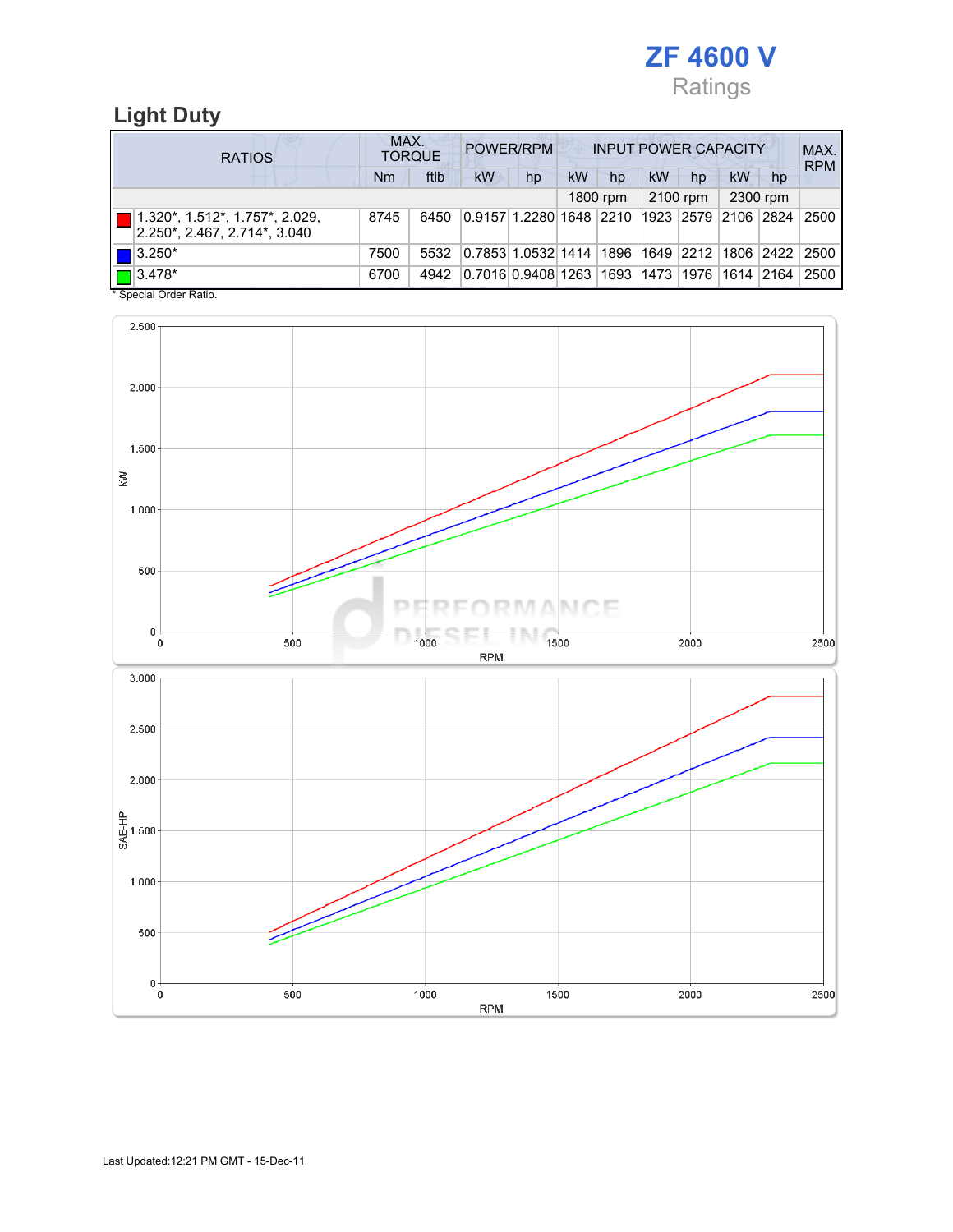

# Light Duty

| <b>RATIOS</b> |                                                                                 | MAX.<br>POWER/RPM<br><b>INPUT POWER CAPACITY</b><br><b>TORQUE</b> |      |                                                  |    |    |          |    |          |    |          | MAX.<br><b>RPM</b> |
|---------------|---------------------------------------------------------------------------------|-------------------------------------------------------------------|------|--------------------------------------------------|----|----|----------|----|----------|----|----------|--------------------|
|               |                                                                                 | Nm                                                                | ftlb | kW                                               | hp | kW | hp       | kW | hp       | kW | hp       |                    |
|               |                                                                                 |                                                                   |      |                                                  |    |    | 1800 rpm |    | 2100 rpm |    | 2300 rpm |                    |
|               | $\blacksquare$   1.320*, 1.512*, 1.757*, 2.029,<br>2.250*, 2.467, 2.714*, 3.040 | 8745                                                              | 6450 | 0.9157 1.2280 1648 2210 1923 2579 2106 2824      |    |    |          |    |          |    |          | 2500               |
|               | $\blacksquare$ 3.250*                                                           | 7500                                                              | 5532 | 0.7853 1.0532 1414 1896 1649 2212 1806 2422 2500 |    |    |          |    |          |    |          |                    |
|               | $\boxed{\Box}$ 3.478*                                                           | 6700                                                              | 4942 | 0.7016 0.9408 1263 1693 1473 1976 1614 2164      |    |    |          |    |          |    |          | 2500               |

\* Special Order Ratio.

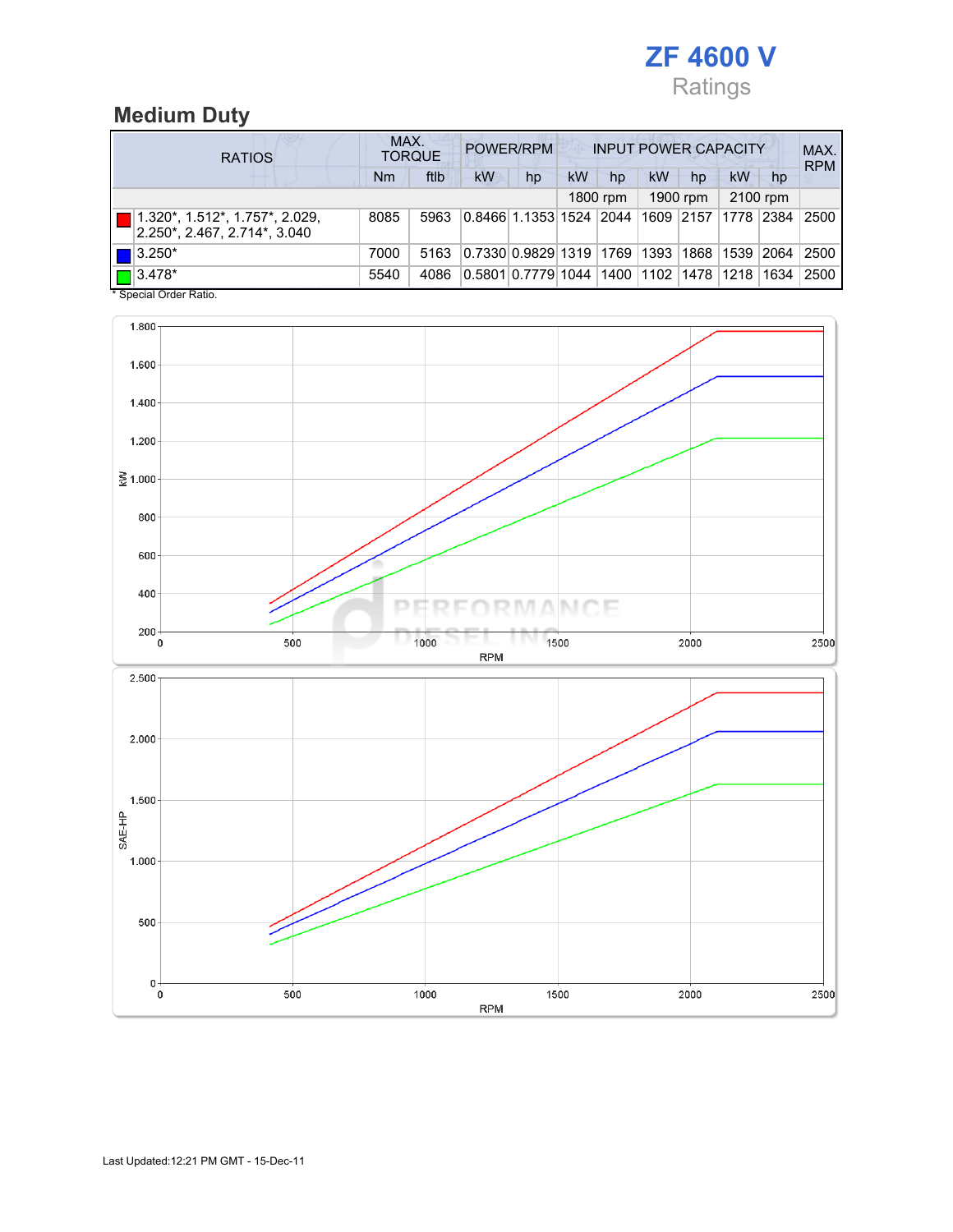

# Medium Duty

| <b>RATIOS</b>                                                                   |  | MAX.<br>POWER/RPM<br><b>INPUT POWER CAPACITY</b><br><b>TORQUE</b> |      |                                                    |    |    |          |    |          |           |                | MAX.<br><b>RPM</b> |
|---------------------------------------------------------------------------------|--|-------------------------------------------------------------------|------|----------------------------------------------------|----|----|----------|----|----------|-----------|----------------|--------------------|
|                                                                                 |  | Nm                                                                | ftlb | kW                                                 | hp | kW | hp       | kW | hp       | kW        | hp             |                    |
|                                                                                 |  |                                                                   |      |                                                    |    |    | 1800 rpm |    | 1900 rpm |           | 2100 rpm       |                    |
| $\blacksquare$   1.320*, 1.512*, 1.757*, 2.029,<br>2.250*, 2.467, 2.714*, 3.040 |  | 8085                                                              | 5963 | 0.8466 1.1353 1524  2044  1609  2157               |    |    |          |    |          | 1778 2384 |                | 2500               |
| $\blacksquare$ 3.250*                                                           |  | 7000                                                              | 5163 | 0.7330   0.9829   1319   1769   1393   1868   1539 |    |    |          |    |          |           | $ 2064\rangle$ | 2500               |
| $\Box$ 3.478*                                                                   |  | 5540                                                              | 4086 | 0.5801 0.7779 1044 1400 1102 1478 1218             |    |    |          |    |          |           | 1634           | 2500               |

\* Special Order Ratio.

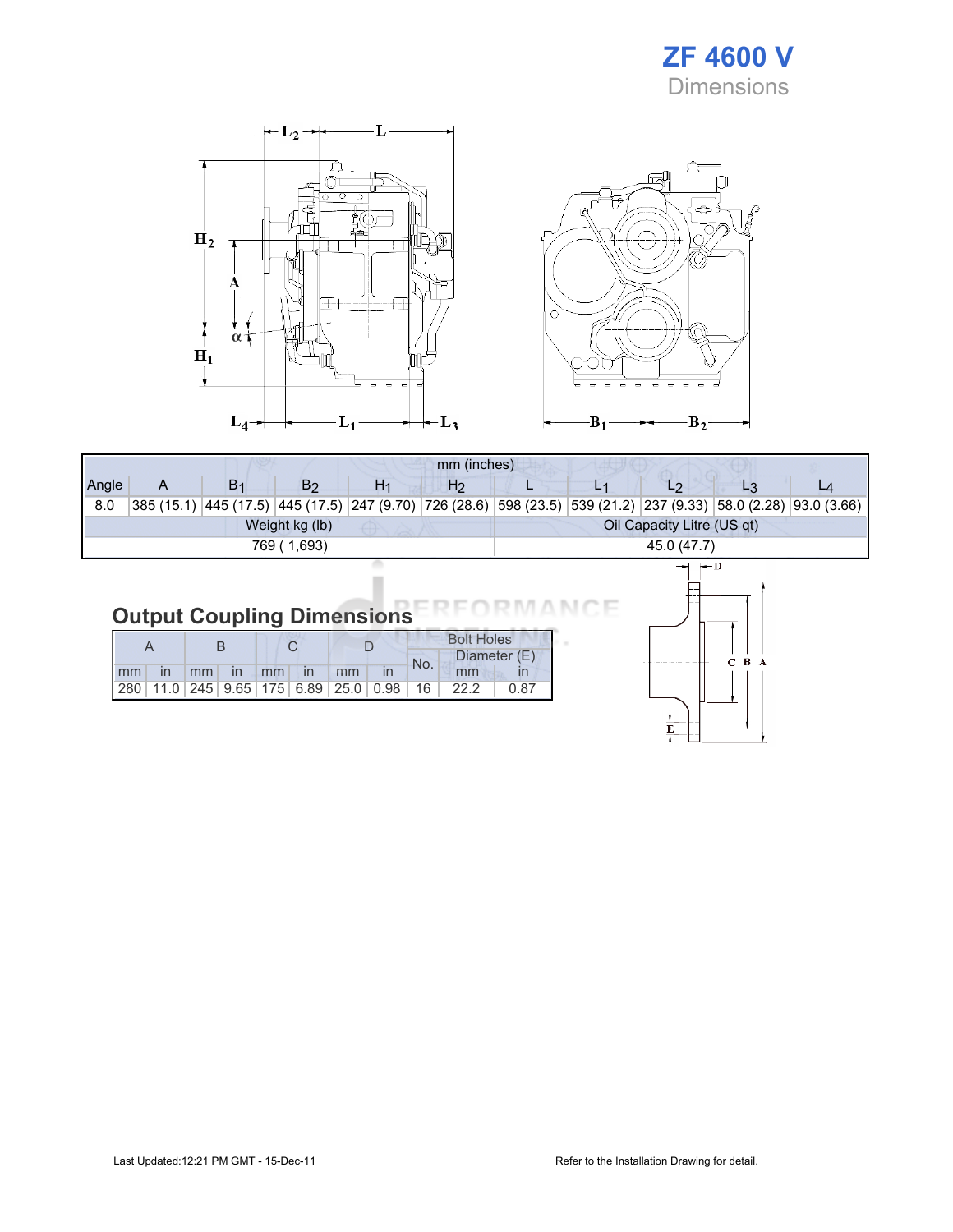



|       |   |                |                |                | mm (inches)                |             |  |                       |                                                                                                                 |  |  |  |
|-------|---|----------------|----------------|----------------|----------------------------|-------------|--|-----------------------|-----------------------------------------------------------------------------------------------------------------|--|--|--|
| Angle | A | B <sub>1</sub> | B <sub>2</sub> | H <sub>1</sub> | H <sub>2</sub>             |             |  | L2                    |                                                                                                                 |  |  |  |
| 8.0   |   |                |                |                |                            |             |  |                       | 385 (15.1) 445 (17.5) 445 (17.5) 247 (9.70) 726 (28.6) 598 (23.5) 539 (21.2) 237 (9.33) 58.0 (2.28) 93.0 (3.66) |  |  |  |
|       |   |                | Weight kg (lb) |                | Oil Capacity Litre (US qt) |             |  |                       |                                                                                                                 |  |  |  |
|       |   |                | 769 (1,693)    |                |                            | 45.0 (47.7) |  |                       |                                                                                                                 |  |  |  |
|       |   |                |                |                |                            |             |  | $\leftarrow$ $\Gamma$ |                                                                                                                 |  |  |  |

# Output Coupling Dimensions

|  |  |  |                       |  | <b>Bolt Holes</b> |                                                                |              |  |
|--|--|--|-----------------------|--|-------------------|----------------------------------------------------------------|--------------|--|
|  |  |  |                       |  | No.               |                                                                | Diameter (E) |  |
|  |  |  | Imm in mm in mm in mm |  |                   | mm                                                             |              |  |
|  |  |  |                       |  |                   | 280   11.0   245   9.65   175   6.89   25.0   0.98   16   22.2 | 0.87         |  |